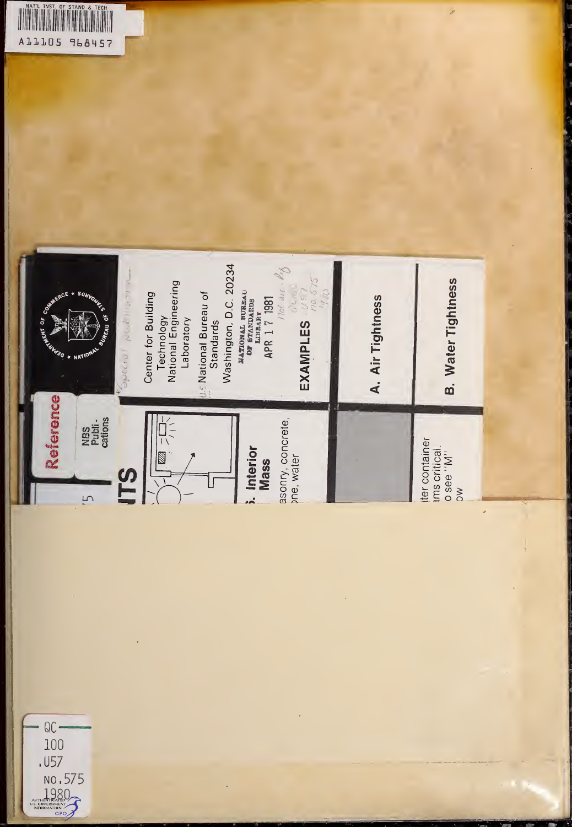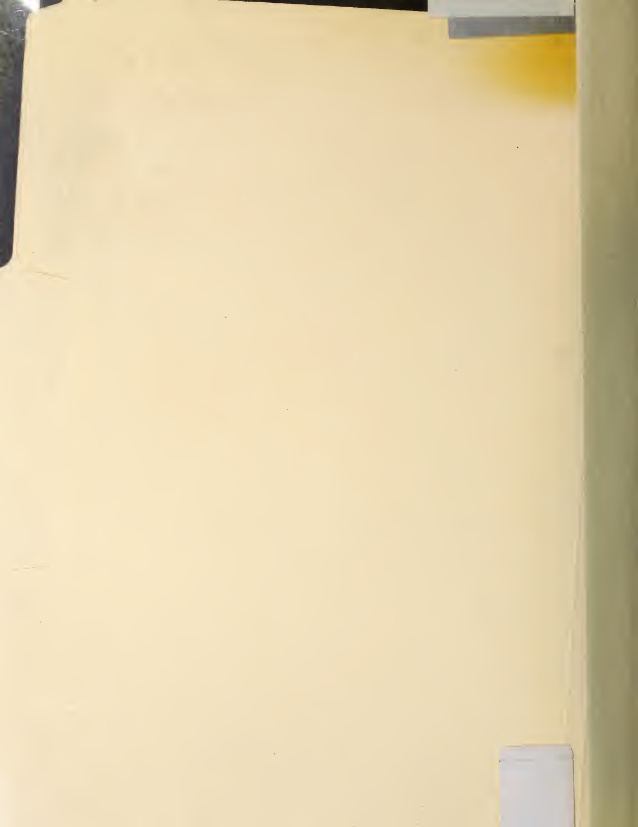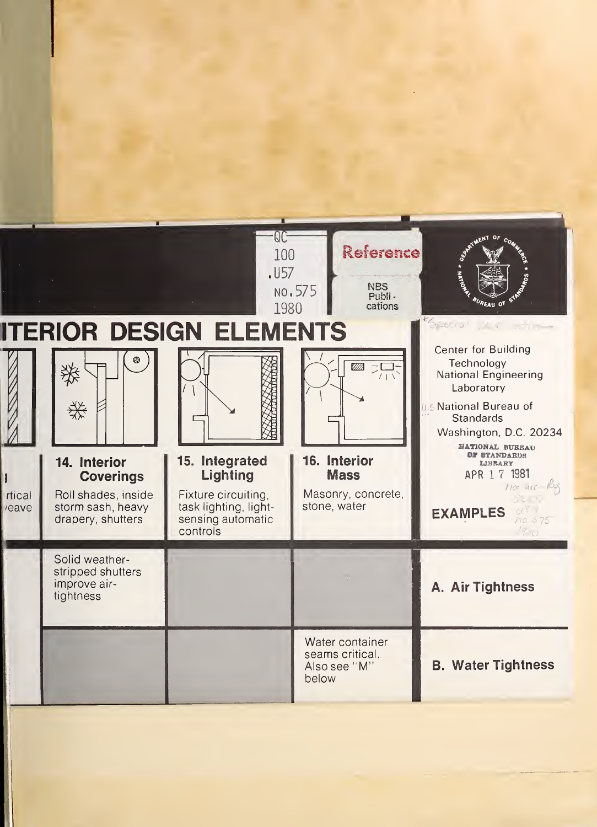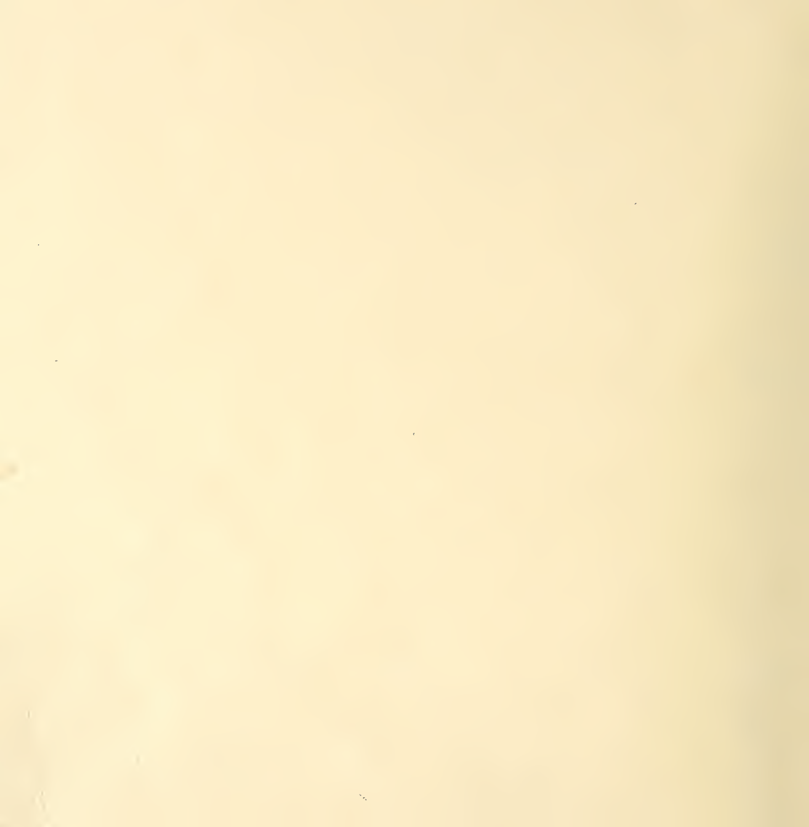$\mathcal{O}(\mathcal{A})$  .  $\mathcal{L}^{\mathcal{L}}$  $\sim$  $\mathcal{L}^{\mathcal{L}}(\mathcal{C})$  .

 $\mathcal{S}_{\mathbf{r}_2}$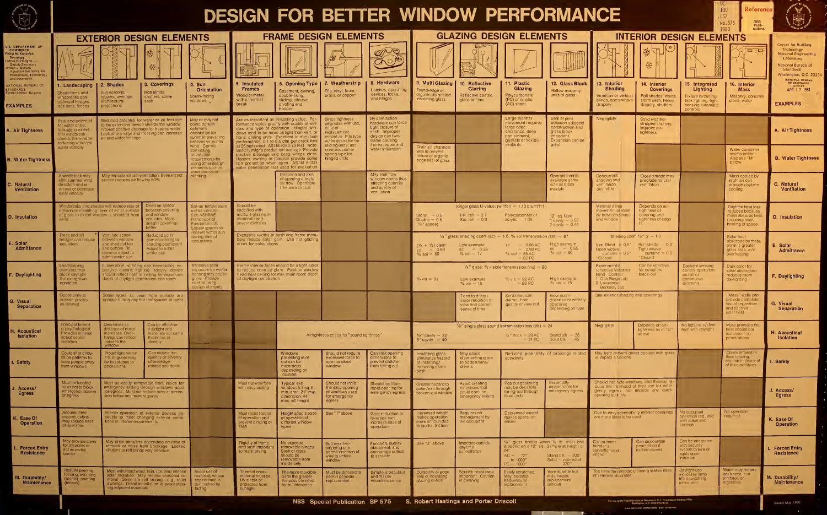

|                                                                                                                                                                                                                         |                                                                                                                                                                                                                                                                                                                                                           | -01 -<br>100<br><b>DESIGN FOR BETTER WINDOW PERFORMANCE</b><br>keference<br>. <sub>U</sub> 57<br>NBS<br>Publi<br>NO. 57!<br>1980<br>cations<br><b>GLAZING DESIGN ELEMENTS</b><br><b>FRAME DESIGN ELEMENTS</b><br><b>INTERIOR DESIGN ELEMENTS</b><br><b>EXTERIOR DESIGN ELEMENTS</b> |                                                                                                    |                                                                                                                           |                                                                                                                                                                  |                                                                                                                                                                                                              |                                                                                                                                      |                                                                                                                                     |                                                                                                                                                                                        |                                                                            |                                                                                                                                                    |                                                                                                                 |                                                                                                                                                    |                                                                                                             |                                                                                                            |                                                                                               |                                                                                                                                                                       |
|-------------------------------------------------------------------------------------------------------------------------------------------------------------------------------------------------------------------------|-----------------------------------------------------------------------------------------------------------------------------------------------------------------------------------------------------------------------------------------------------------------------------------------------------------------------------------------------------------|-------------------------------------------------------------------------------------------------------------------------------------------------------------------------------------------------------------------------------------------------------------------------------------|----------------------------------------------------------------------------------------------------|---------------------------------------------------------------------------------------------------------------------------|------------------------------------------------------------------------------------------------------------------------------------------------------------------|--------------------------------------------------------------------------------------------------------------------------------------------------------------------------------------------------------------|--------------------------------------------------------------------------------------------------------------------------------------|-------------------------------------------------------------------------------------------------------------------------------------|----------------------------------------------------------------------------------------------------------------------------------------------------------------------------------------|----------------------------------------------------------------------------|----------------------------------------------------------------------------------------------------------------------------------------------------|-----------------------------------------------------------------------------------------------------------------|----------------------------------------------------------------------------------------------------------------------------------------------------|-------------------------------------------------------------------------------------------------------------|------------------------------------------------------------------------------------------------------------|-----------------------------------------------------------------------------------------------|-----------------------------------------------------------------------------------------------------------------------------------------------------------------------|
| <b>I.S. DEPARTMENT OF</b><br><b>COMMERCE</b><br>hilip M. Klutznick<br><b>Secretary</b><br>uther H. Hodges, J<br>Deputy Secretary<br><b>Assistant Secretary for</b><br><b>Productivity, Technology</b><br>and Innovation |                                                                                                                                                                                                                                                                                                                                                           |                                                                                                                                                                                                                                                                                     |                                                                                                    |                                                                                                                           |                                                                                                                                                                  |                                                                                                                                                                                                              | 爛                                                                                                                                    | $\mathscr{A}^{\diamondsuit}$<br>$\alpha$                                                                                            |                                                                                                                                                                                        |                                                                            |                                                                                                                                                    |                                                                                                                 |                                                                                                                                                    |                                                                                                             |                                                                                                            | $\overline{\mathbb{Z}}$                                                                       | Center for Building<br><b>Technology</b><br>National Engineering<br>Laboratory<br>National Bureau of<br>Standards<br>Vashington, D.C. 20234<br><b>HATIONAL BUBEAU</b> |
| ATIONAL BUREAU OF<br><b>TANOARDS</b><br>inest Ambler, Director<br><b>EXAMPLES</b>                                                                                                                                       | Landscaping<br>shade trees and<br>windbreaks con-<br>isting of hedges.<br>tree lines, fences                                                                                                                                                                                                                                                              | 2. Shades<br>Sun screens<br>louvers, awnings,<br>archilectural<br>projections                                                                                                                                                                                                       | 3. Coverings<br>Roll blinds,<br>shutters, storm<br>sash                                            | 4. Sun<br>Orientation<br>South-facing<br>windows.                                                                         | 5. Insulated<br><b>Frames</b><br>Wood or metal<br>with a thermal<br>areak.                                                                                       | 6. Opening Type<br>Casement, awning.<br>double-hung,<br>sliding, jalousie,<br>pivoting and<br>onne                                                                                                           | Weatherstrip<br>Pile, vinyl, foam,<br>brass, or copper                                                                               | 8. Hardware<br>Latches, operati<br>devices, locks,<br>and hinges                                                                    | 9. Multi Glazing<br>Fused-edge or<br>organically sealed<br>insulating glass                                                                                                            | 10. Reflective<br>Glazing<br>Reflective coated<br>glass or films           | 11. Plastic<br>Glazing<br>Polycarbonate<br>(PC) or acrylic<br>(AC) sheet                                                                           | 12. Glass Block<br>Hollow masonry<br>units of glass                                                             | 13. Interior<br><b>Shading</b><br>Venetian or vertica<br>blinds, open-weav<br>drapery                                                              | 14. Interior<br><b>Coverings</b><br>Roll shades, inside<br>storm sash, heavy<br>drapery, shutters           | 15. Integrated<br>Lighting<br>Fixture circuiting<br>task lighting, light-<br>sensing automatic<br>controls | 16. Interior<br><b>Mass</b><br>Masonry, concrete,<br>stone, water                             | OF STANDARDS<br>APR 1 7 1981<br><b>EXAMPLES</b>                                                                                                                       |
| 4. Air Tightness                                                                                                                                                                                                        | Reduced potential for water or air leakage<br>Reduced potential<br>to the extent the device shields the window.<br>for water or air<br>Provide positive drainage for trapped water<br>eakage to extent<br>Lack of drainage and freezing can increase<br>hat windbreak<br>air and water leakage<br>iields the window<br>educing wind and<br>water velocity |                                                                                                                                                                                                                                                                                     |                                                                                                    | May or may not<br>coincide with<br>optimum<br>orientation for<br>summer prevailing<br>breezes vs. winter<br>wind. Correct | Are as important as insulating value. Per<br>formance varies greatly with quality of win-<br>dow and type of operation. Hinged win-                              | dows tend to be more airtight than vert. or<br>horiz, sliding units. Excellent to minimum<br>erformance: 0.1 to 0.5 cfm per crack foot<br>26 mph wind. ASTM e283-73 test. Note                               | Since tightness<br>degrades with use.<br>ease of<br>replacement<br>essential. Pile type<br>w/fin desirable for<br>sliding units; use | By cam action<br>hardware can force<br>tight closure of<br>sash. Improper<br>design can twist<br>frame causing<br>increased air and | Drain sill channels                                                                                                                                                                    |                                                                            | Large thermal<br>movement requires<br>large edge<br>clearance, deep<br>containment.<br>gaskets or flexible<br>sealants                             | Seal at joint<br>between adjacent<br>construction and<br>glass block<br>important.<br>Expansion can be<br>great | Negligible                                                                                                                                         | Solid weather-<br>stripped shutters<br>improve air-<br>lightness                                            |                                                                                                            |                                                                                               | A. Air Tightness                                                                                                                                                      |
| B. Water Tightness                                                                                                                                                                                                      |                                                                                                                                                                                                                                                                                                                                                           |                                                                                                                                                                                                                                                                                     |                                                                                                    | conflicting<br>orientation<br>equirements by<br>using other design<br>elements such as                                    | aler penetration test used for evaluatio                                                                                                                         | ecify mfgr's production average. Provide<br>sitive drainage and keep weeps clear<br>opper, awning or jalousie provide some<br>in protection when open. ASTM E-331                                            | compression or<br>spring type for<br>hinged units                                                                                    | water infiltration                                                                                                                  | well to prevent<br>failure of organic<br>edge seal of glass                                                                                                                            |                                                                            |                                                                                                                                                    |                                                                                                                 |                                                                                                                                                    |                                                                                                             |                                                                                                            | Water container<br>seams critical<br>Also see "M"<br>below                                    | <b>B. Water Tightness</b>                                                                                                                                             |
| C. Natural<br>Ventilation                                                                                                                                                                                               | May impede natural ventilation. Even insect<br>A windbreak may<br>screen reduces air flow by 50%<br>alter summer wind<br>direction and in-<br>crease or decreas<br>local velocity                                                                                                                                                                         |                                                                                                                                                                                                                                                                                     |                                                                                                    | wind scocps Of<br>planting                                                                                                |                                                                                                                                                                  | Direction and axis<br>of opening directs<br>air flow. Openable<br>free area critical                                                                                                                         |                                                                                                                                      | May limit how<br>window opens thus<br>affecting quantity<br>and quality of<br>ventilation                                           |                                                                                                                                                                                        |                                                                            |                                                                                                                                                    | Operable vents<br>available same<br>size as block l<br>nodule                                                   | Concurrent<br>shading and<br>ventilation<br>desirable                                                                                              | Closed mode may<br>preclude natural<br>ventifation                                                          |                                                                                                            | Mass cooled by<br>night air can<br>provide daytime<br>cooling                                 | C. Natural<br>Ventilation                                                                                                                                             |
| D. Insulation                                                                                                                                                                                                           | Windbreaks and shades will reduce rate of<br>erosion of insulating layer of air at surface<br>of glass to extent window is shielded from<br>wind                                                                                                                                                                                                          |                                                                                                                                                                                                                                                                                     | Dead air space<br>between covering<br>and window<br>nsulales. More<br>airlight coverings<br>hetter | Sol-air temperatur<br>useful concept.<br>See ASHRAE<br>Handbook of<br>Fundamentals<br>Locate spaces to                    | ould be<br>becified with<br>multiple glazing in<br>moderate and<br>evere climates                                                                                |                                                                                                                                                                                                              |                                                                                                                                      |                                                                                                                                     | Storm $= 0.5$<br>Double $= 0.6$<br>$(y_2$ " space)                                                                                                                                     | 1.R. refl. $= 0.7$<br>Sol. refl. $= 0.9$                                   | Single glass U-value: (winter) = $1.10$ btu/ft <sup>2</sup> h f<br>Polycarbonate or<br>$acyclic = 106$                                             | 12" sq. face<br>1 cavity = $0.52$<br>$2$ cavity = 0.44                                                          | Minimal if free<br>movement of room<br>air between device.<br>and window i                                                                         | Depends on air-<br>tightness of<br>covering and<br>tightness of edge                                        |                                                                                                            | Davlime heat loss<br>reduced because<br>mass absorbs he<br>reducing over-<br>healing of space | <b>D.</b> Insulation                                                                                                                                                  |
| E. Solari<br>Admittance                                                                                                                                                                                                 | Trees and tall<br>hedges can reduce<br>insulation                                                                                                                                                                                                                                                                                                         | Ventilate space<br>velween window<br>and shade at top<br>and bottom. Re-<br>nove or adjust to<br>dmit winter sun                                                                                                                                                                    | Reduced solar<br>gain according to<br>shading coefficien<br>Adjust to admit<br>winter sun          | receive winter sun<br>during time of<br>occupancy                                                                         | Excessive widths of sash and frame mem-<br>bers reduce solar gain. Use net glazing<br>areas for calculations                                                     |                                                                                                                                                                                                              |                                                                                                                                      |                                                                                                                                     | $(y_8 + y_8)$ clear:<br>$\frac{\text{sc}}{\% \text{ sol}} = \frac{0.89}{69}$                                                                                                           | Low example<br>$\text{sc} = 0.38$<br>% sol = $17$                          | $\frac{1}{8}$ alass: shading coeff. (sc) = 1.0, % sol transmission (sol) = 87<br>$0.98$ AC<br>0.98 PC<br>$% sol = 85 AC$<br>82 PC                  | High example<br>$\text{sc} = 0.65$<br>% sol = $60$                                                              | /en. Blind = $0.6^{\circ}$<br>Open weave<br>curtains = $0.8^*$<br>Closed                                                                           | Shading coeff $V_8$ " gl = 1.0<br>Roll shade 0.3<br>Tight weave<br>curtains = $03^{\circ}$<br><b>Closed</b> |                                                                                                            | Solar heat<br>absorbed by mass<br>permits greater<br>glass area, w/o<br>overheating           | E. Solar<br>Admittance                                                                                                                                                |
| <b>E. Daylighting</b>                                                                                                                                                                                                   | Il overdone, shading can necessitate ex-<br>Landscaping<br>pensive electric lighting. Ideally, device<br>ements may<br>blcck daylıqhl<br>should reflect light to ceiling for maximum<br>depth of daylight penetration into room<br>if in overgrown<br>condition                                                                                           |                                                                                                                                                                                                                                                                                     |                                                                                                    | Intensive solar<br>exposure for winter<br>heating may cause<br>glare. Provide<br>control using<br>design elements         | Frame interior faces should be a light color<br>to reduce contrast glare. Position window<br>head near ceiling for maximum room depth<br>of daylight penetration |                                                                                                                                                                                                              |                                                                                                                                      |                                                                                                                                     | % vis = $81$                                                                                                                                                                           | Low example<br>% vis = $15$                                                | $\frac{1}{8}$ " glass: % visible transmission (vis) = 90<br>$\%$ vis = 92 AC<br>High example<br>$= 88$ PC<br>$\%$ vis = 75                         |                                                                                                                 | Experimental<br>eflective Venetian-<br>plind Contact:<br>Oak Ridge Lab<br>2 Lawrence<br><b>Berkeley Lab</b>                                        | Can be effective<br>for complete<br>black-out                                                               | Daylight sensing<br>ontrol operation<br>on/off or<br>continuous<br>dimming                                 | Dark color for<br>solar absorption<br>reduces room<br>daylighting                             | F. Daylighting                                                                                                                                                        |
| G. Visual<br><b>Separation</b>                                                                                                                                                                                          | Opportunity to<br>rovide privacy<br>as desired                                                                                                                                                                                                                                                                                                            | Some types as seen from outside are<br>opaque during day but transparent at night                                                                                                                                                                                                   |                                                                                                    |                                                                                                                           |                                                                                                                                                                  |                                                                                                                                                                                                              |                                                                                                                                      |                                                                                                                                     |                                                                                                                                                                                        | Tend to distort<br>color rendition of<br>view and correct<br>sense of time | Scratches can<br>detract from<br>quality of view out                                                                                               | View out/in<br>distorted or entirely<br>obscured<br>depending on type                                           | See exterior shading and coverings                                                                                                                 |                                                                                                             |                                                                                                            | 'Mass" walls can<br>provide complete<br>visual separation<br>and passive<br>solar heal        | G. Visual<br>Separation                                                                                                                                               |
| H. Acoustical<br><b>Isolation</b>                                                                                                                                                                                       | rincipal benetit<br>s psychological.<br>rovides minimat<br>actual sound<br>solation                                                                                                                                                                                                                                                                       | Decreases as<br>Can be effective<br>distance of noise<br>if airtight and<br>increases. Over-<br>materials not same<br>hangs can rettect<br>thickness or<br>noise to the<br>density<br>window                                                                                        |                                                                                                    | --                                                                                                                        |                                                                                                                                                                  | Airtightness critical to "sound tightness"                                                                                                                                                                   |                                                                                                                                      |                                                                                                                                     | $\frac{1}{2}$ single glass sound transmission loss (db) = 24<br>$1/2$ " cavity = 32<br>$V_4$ "thick = 29 AC<br>Sland bl $k - 38$<br>Solid blk = $45$<br>$6''$ cavity = 40<br>$= 31$ PC |                                                                            | Negligible                                                                                                                                         | Depends on air-<br>lightness as in "D"<br>above                                                                 | No lighting system<br>hum with daylight                                                                                                            | Mass provides the<br>best acoustical<br>isolation if no<br>penetrations                                     | H. Acoustical<br>Isolation                                                                                 |                                                                                               |                                                                                                                                                                       |
| . Safety                                                                                                                                                                                                                | Could aller circu-<br>ation patterns to<br>eep people away<br>om windows                                                                                                                                                                                                                                                                                  | Projections within<br>7 ft. of grade may<br>be hazardous to<br>pedestrians                                                                                                                                                                                                          | Can reduce tre-<br>quency or severity<br>of breakage-<br>related accidenIs                         |                                                                                                                           |                                                                                                                                                                  | Windows<br>projecting in or<br>out can be<br>hazardous<br>depending on<br>location                                                                                                                           | Should not require<br>excessive force to<br>open or close<br>window                                                                  | Can limit opening<br>dimensions to<br>prevent children<br>from falling out                                                          | Insulating glass<br>eliminates hazard<br>of installing/<br>removing storm<br>sash                                                                                                      | May cause<br>disorienting glare<br>to pedestrians/<br>drivers              | Reduced probability of breakage-related<br>accidents                                                                                               |                                                                                                                 | impact situations.                                                                                                                                 | May help prevent direct contact with glass                                                                  |                                                                                                            | Check allowable<br>floor loading.<br>caution in disposa<br>of toxic additives                 | . Safety                                                                                                                                                              |
| J. Access/<br>Egress                                                                                                                                                                                                    | Must be located<br>so as not to block.<br>emergency access<br>or egress                                                                                                                                                                                                                                                                                   | Must be easily removable from inside for<br>emergency exiting through windows used<br>for egress. Must not reduce area or dimen-<br>sion below minimum required                                                                                                                     |                                                                                                    |                                                                                                                           | Must not interfere<br>with easy exiting                                                                                                                          | Should not inhibit<br>Typical exit<br>Should facilitate<br>window: 5.7 sq. ft.<br>he easy opening<br>min. area, 21" min.<br>of windows used<br>dimension, 44"<br>for emergency<br>max. sill height<br>egress |                                                                                                                                      | rapid opening for<br>emergency egress                                                                                               | Greater hazard to<br>enter/exit through<br>broken-out window                                                                                                                           | Avoid creating<br>reflections that<br>could confuse<br>emergency exiting   | <b>Essentially</b><br>Pop out gasketing<br>inpenetrable tor<br>may be desirable<br>emergency egress<br>for egress through<br>fixed units           |                                                                                                                 | Should not hide windows, and thereby re-<br>duce the likelihood of their use for emer-<br>gency egress, nor impede any quick-<br>opening qualities |                                                                                                             |                                                                                                            |                                                                                               | J. Access/<br><b>Egress</b>                                                                                                                                           |
| K. Ease Of<br>Operation                                                                                                                                                                                                 | <b>Accumulated</b><br>rganic debris<br>ay reduce ease<br>operation                                                                                                                                                                                                                                                                                        | Interior operation of exterior devices de-<br>sirable to meet changing exterior condi-<br>tions or interior requirements                                                                                                                                                            |                                                                                                    |                                                                                                                           | Must resist forces<br>of operation and<br>prevent binding of<br>sash                                                                                             | <b>Height aflects ease</b><br>of operation of<br>different window<br>types                                                                                                                                   | See "I" above                                                                                                                        | Gear reduction or<br>leverage can<br>increase ease of<br>operation                                                                  | ncreased weigh<br>nakes operation<br>more ditficult due<br>to inertia, friction                                                                                                        | Requires no<br>management by<br>the occupant                               | Decreased weight<br>makes operation<br>easier                                                                                                      |                                                                                                                 | Due to easy accessibility interior covering<br>are more likely to be used                                                                          |                                                                                                             | No occupant-<br>pperation required<br>with automatic<br>controis                                           | No operation<br>required                                                                      | K. Ease Of<br><b>Operation</b>                                                                                                                                        |
| . Forced Entrv<br>Resistance                                                                                                                                                                                            | May provide cover<br>or intruders or<br>act as partial<br>barrier                                                                                                                                                                                                                                                                                         | May deter intruders depending on ease of<br>removal or noise from breakage. Locked<br>shutters or rott blinds very elfective                                                                                                                                                        |                                                                                                    |                                                                                                                           | Rigidity of frame<br>and sash importan<br>lo resist prying                                                                                                       | No exposed<br>removable hinges.<br>Sash or glass<br>should be<br>removable trom<br>inside only                                                                                                               | Solt weather-<br>stripping can<br>permit insertion of<br>wire to unlock<br>window                                                    | Function, quality<br>placement, and<br>anchorage critical<br>to security                                                            | See "J" above                                                                                                                                                                          | Impedes outside<br>daytime<br>surveillance                                 | V <sub>a</sub> " glass breaks when V <sub>4</sub> lb. steel ba<br>dropped on a 12" sq Sample at height o<br>$AC = 72"$<br>lo 1000"<br>$PC = 1000"$ | Stand blk. $-200$<br>$Solid = married at$<br>320''                                                              | Can prevent<br>burglar's<br>surveillance of<br>interior                                                                                            | Can discourage<br>penetration if<br>locked closed                                                           | Can be integrated<br>with security<br>system to lurn on<br>lights upon<br>intrusion                        |                                                                                               | L. Forced Entry<br>Resistance                                                                                                                                         |
| M. Durability/<br>Maintenance                                                                                                                                                                                           | lequire pruning.<br>eeding, watering<br>plants), painting<br>fences)                                                                                                                                                                                                                                                                                      | Must withstand wind, rain, ice, and intense<br>solar radiation. May require seasonal re-<br>moval Some are sell storing-e.g., roller<br>awnings. Detail installation to avoid stain-<br>ing adjacent materials                                                                      |                                                                                                    | Avoid use of<br>materials whose<br>appearance is<br>diminished by<br>fadıng                                               | Thermal break<br>material must be<br>UV stable or<br>protected from<br>sunlight                                                                                  | The more movable<br>paris the greater<br>the possible need<br>for maintenance                                                                                                                                | Must be detailed to<br>permit periodic<br>replacement                                                                                | Simple is beautifut<br>and makes<br>economic sense                                                                                  | Durability of edge<br>seal ot insulating<br>glazing critical                                                                                                                           | Scratch resistance<br>important Caution<br>in cleaning                     | asily scratched<br>May increase<br>trequency of<br>replacement                                                                                     | Very durable but<br>it damaged.<br>replacement<br>ditlicult                                                     | The need for periodic cleaning makes eas<br>of removal desirable                                                                                   |                                                                                                             | Daylight use<br>increases lamp<br>life it switching<br>infrequent                                          | Water may require<br>antifreeze, rust<br>inhibitor, or<br>algaecide                           | M. Durability/<br>Maintenance                                                                                                                                         |